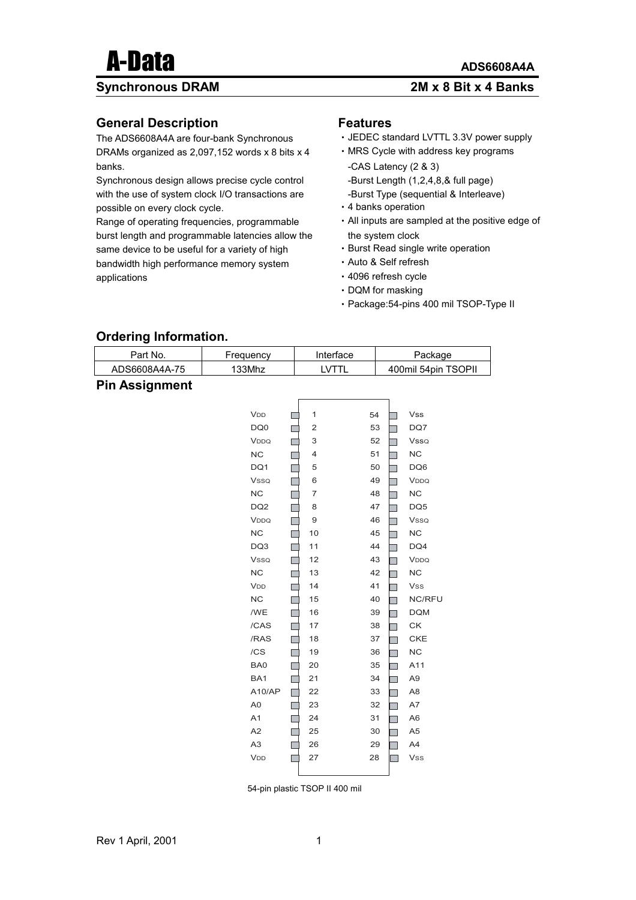#### **Synchronous DRAM 2M x 8 Bit x 4 Banks**

#### **General Description**

The ADS6608A4A are four-bank Synchronous DRAMs organized as 2,097,152 words x 8 bits x 4 banks.

Synchronous design allows precise cycle control with the use of system clock I/O transactions are possible on every clock cycle.

Range of operating frequencies, programmable burst length and programmable latencies allow the same device to be useful for a variety of high bandwidth high performance memory system applications

#### **Features**

- •JEDEC standard LVTTL 3.3V power supply
- •MRS Cycle with address key programs
- -CAS Latency (2 & 3) -Burst Length (1,2,4,8,& full page)
- -Burst Type (sequential & Interleave)
- •4 banks operation
- •All inputs are sampled at the positive edge of the system clock
- •Burst Read single write operation
- •Auto & Self refresh
- •4096 refresh cycle
- •DQM for masking
- •Package:54-pins 400 mil TSOP-Type II

#### **Ordering Information.**

| Part No.              | Frequency       | Interface      |    | Package |                     |  |
|-----------------------|-----------------|----------------|----|---------|---------------------|--|
| ADS6608A4A-75         | 133Mhz          | LVTTL          |    |         | 400mil 54pin TSOPII |  |
| <b>Pin Assignment</b> |                 |                |    |         |                     |  |
|                       |                 |                |    |         |                     |  |
|                       | V <sub>DD</sub> | 1              | 54 |         | <b>Vss</b>          |  |
|                       | DQ0             | $\overline{c}$ | 53 |         | DQ7                 |  |
|                       | VDDQ            | 3              | 52 |         | <b>Vsso</b>         |  |
|                       | ${\sf NC}$      | 4              | 51 |         | NC                  |  |
|                       | DQ1             | 5              | 50 |         | DQ6                 |  |
|                       | <b>Vsso</b>     | 6              | 49 |         | VDDQ                |  |
|                       | NC              | $\overline{7}$ | 48 |         | NC                  |  |
|                       | DQ <sub>2</sub> | 8              | 47 |         | DQ5                 |  |
|                       | VDDQ            | 9              | 46 |         | Vsso                |  |
|                       | NC              | 10             | 45 |         | NC                  |  |
|                       | DQ3             | 11             | 44 |         | DQ4                 |  |
|                       | <b>Vsso</b>     | 12             | 43 |         | VDDQ                |  |
|                       | NC              | 13             | 42 |         | NC                  |  |
|                       | V <sub>DD</sub> | 14             | 41 |         | Vss                 |  |
|                       | NC              | 15             | 40 |         | NC/RFU              |  |
|                       | /WE             | 16             | 39 |         | <b>DQM</b>          |  |
|                       | /CAS            | 17             | 38 |         | СK                  |  |
|                       | /RAS            | 18             | 37 |         | <b>CKE</b>          |  |
|                       | /CS             | 19             | 36 |         | NC                  |  |
|                       | BA0             | 20             | 35 |         | A11                 |  |
|                       | BA1             | 21             | 34 |         | A <sub>9</sub>      |  |
|                       | A10/AP          | 22             | 33 |         | A <sub>8</sub>      |  |
|                       | A <sub>0</sub>  | 23             | 32 |         | A7                  |  |
|                       | A1              | 24             | 31 |         | A <sub>6</sub>      |  |
|                       | A2              | 25             | 30 |         | A <sub>5</sub>      |  |
|                       | A <sub>3</sub>  | 26             | 29 |         | A4                  |  |
|                       | V <sub>DD</sub> | 27             | 28 |         | <b>Vss</b>          |  |

54-pin plastic TSOP II 400 mil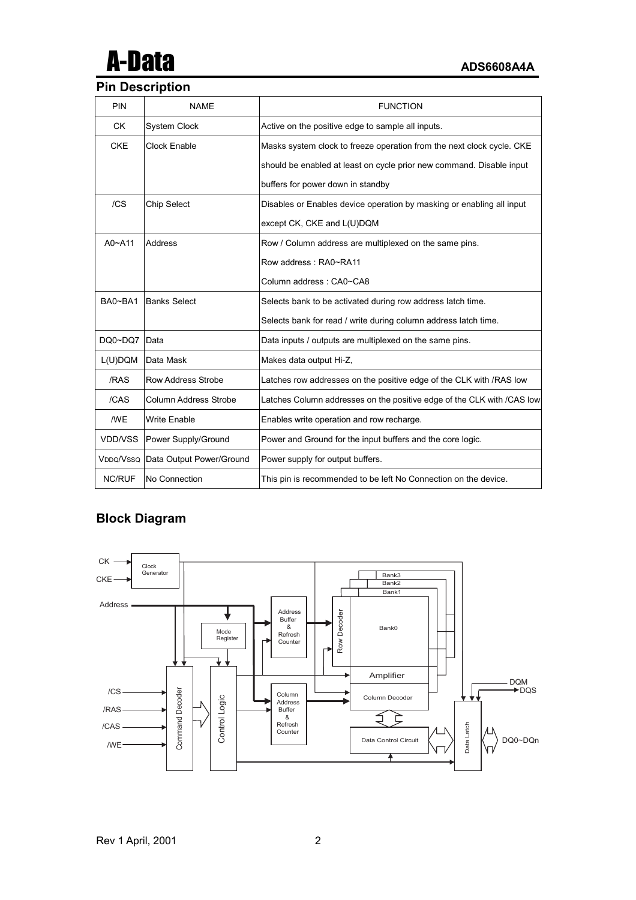# A-Data **ADS6608A4A**

#### **Pin Description**

| PIN           | <b>NAME</b>                        | <b>FUNCTION</b>                                                        |
|---------------|------------------------------------|------------------------------------------------------------------------|
| <b>CK</b>     | <b>System Clock</b>                | Active on the positive edge to sample all inputs.                      |
| <b>CKE</b>    | Clock Enable                       | Masks system clock to freeze operation from the next clock cycle. CKE  |
|               |                                    | should be enabled at least on cycle prior new command. Disable input   |
|               |                                    | buffers for power down in standby                                      |
| /CS           | <b>Chip Select</b>                 | Disables or Enables device operation by masking or enabling all input  |
|               |                                    | except CK, CKE and L(U)DQM                                             |
| $A0 - A11$    | Address                            | Row / Column address are multiplexed on the same pins.                 |
|               |                                    | Row address: RA0~RA11                                                  |
|               |                                    | Column address: CA0~CA8                                                |
| BA0~BA1       | <b>Banks Select</b>                | Selects bank to be activated during row address latch time.            |
|               |                                    | Selects bank for read / write during column address latch time.        |
| DQ0~DQ7       | Data                               | Data inputs / outputs are multiplexed on the same pins.                |
| L(U)DQM       | Data Mask                          | Makes data output Hi-Z,                                                |
| /RAS          | Row Address Strobe                 | Latches row addresses on the positive edge of the CLK with / RAS low   |
| /CAS          | Column Address Strobe              | Latches Column addresses on the positive edge of the CLK with /CAS low |
| /WE           | <b>Write Enable</b>                | Enables write operation and row recharge.                              |
| VDD/VSS       | Power Supply/Ground                | Power and Ground for the input buffers and the core logic.             |
|               | VDDQ/VSSQ Data Output Power/Ground | Power supply for output buffers.                                       |
| <b>NC/RUF</b> | No Connection                      | This pin is recommended to be left No Connection on the device.        |

### **Block Diagram**

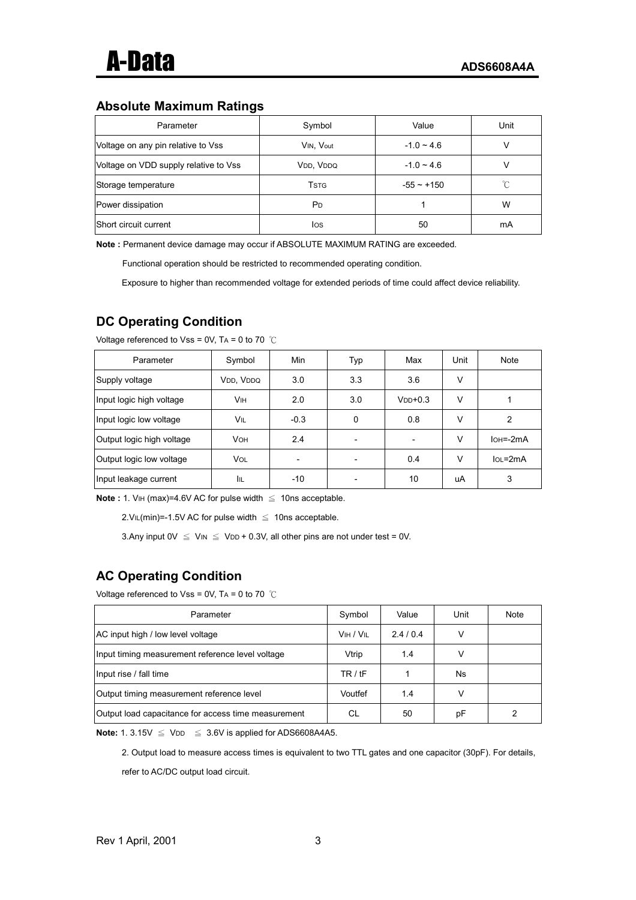#### **Absolute Maximum Ratings**

| Parameter                             | Symbol                   | Value        | Unit |
|---------------------------------------|--------------------------|--------------|------|
| Voltage on any pin relative to Vss    | VIN, Vout                | $-1.0 - 4.6$ |      |
| Voltage on VDD supply relative to Vss | VDD, VDDQ                | $-1.0 - 4.6$ |      |
| Storage temperature                   | <b>T</b> st <sub>G</sub> | $-55 - +150$ |      |
| Power dissipation                     | P <sub>D</sub>           |              | W    |
| Short circuit current                 | los                      | 50           | mA   |

**Note :** Permanent device damage may occur if ABSOLUTE MAXIMUM RATING are exceeded.

Functional operation should be restricted to recommended operating condition.

Exposure to higher than recommended voltage for extended periods of time could affect device reliability.

### **DC Operating Condition**

| Parameter                 | Symbol     | Min                      | Typ      | Max                      | Unit   | Note          |
|---------------------------|------------|--------------------------|----------|--------------------------|--------|---------------|
| Supply voltage            | VDD, VDDQ  | 3.0                      | 3.3      | 3.6                      | V      |               |
| Input logic high voltage  | Vıн        | 2.0                      | 3.0      | $VDD+0.3$                | V      |               |
| Input logic low voltage   | VIL        | $-0.3$                   | $\Omega$ | 0.8                      | $\vee$ | $\mathcal{P}$ |
| Output logic high voltage | <b>VOH</b> | 2.4                      |          | $\overline{\phantom{0}}$ | V      | $IOH = -2mA$  |
| Output logic low voltage  | VOL        | $\overline{\phantom{0}}$ |          | 0.4                      | $\vee$ | $IoL = 2mA$   |
| Input leakage current     | IіL        | -10                      |          | 10                       | uA     | 3             |

Voltage referenced to Vss = 0V, TA = 0 to 70  $°C$ 

**Note :** 1. VIH (max)=4.6V AC for pulse width ≤ 10ns acceptable.

 $2.VL(min) = -1.5V AC$  for pulse width  $\leq 10$ ns acceptable.

3.Any input  $0V \leq V_{IN} \leq V_{DD} + 0.3V$ , all other pins are not under test = 0V.

### **AC Operating Condition**

Voltage referenced to Vss = 0V, TA = 0 to 70 ℃

| Parameter                                           | Symbol    | Value   | Unit | Note |
|-----------------------------------------------------|-----------|---------|------|------|
| AC input high / low level voltage                   | VIH / VIL | 2.4/0.4 |      |      |
| Input timing measurement reference level voltage    | Vtrip     | 1.4     |      |      |
| Input rise / fall time                              | TR / tF   |         | Ns   |      |
| Output timing measurement reference level           | Voutfef   | 1.4     |      |      |
| Output load capacitance for access time measurement | СL        | 50      | рF   | 2    |

**Note:** 1. 3.15V  $\leq$  V<sub>DD</sub>  $\leq$  3.6V is applied for ADS6608A4A5.

2. Output load to measure access times is equivalent to two TTL gates and one capacitor (30pF). For details, refer to AC/DC output load circuit.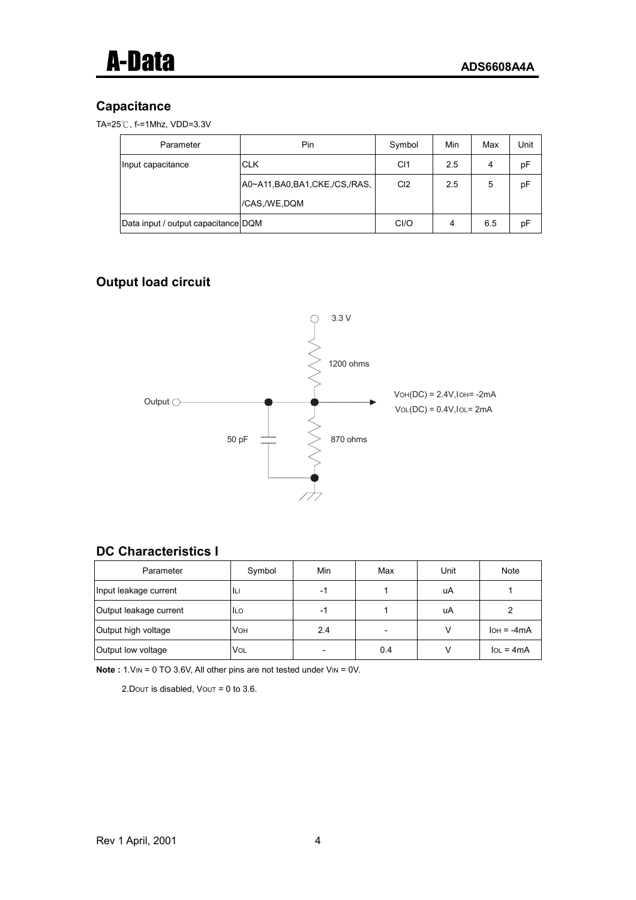#### **Capacitance**

|  | TA= $25^{\circ}$ C, f-=1Mhz, VDD=3.3V |
|--|---------------------------------------|
|  |                                       |

| Parameter                           | Pin                               | Symbol          | Min | Max | Jnit |
|-------------------------------------|-----------------------------------|-----------------|-----|-----|------|
| Input capacitance                   | <b>CLK</b>                        | C <sub>1</sub>  | 2.5 | 4   | pF   |
|                                     | A0~A11, BA0, BA1, CKE, /CS, /RAS, | Cl <sub>2</sub> | 2.5 | 5   | pF   |
|                                     | /CAS,/WE,DQM                      |                 |     |     |      |
| Data input / output capacitance DQM |                                   | Cl/O            | 4   | 6.5 | рF   |

# **Output load circuit**



#### **DC Characteristics I**

| Parameter              | Symbol     | Min                      | Max | Unit | Note         |
|------------------------|------------|--------------------------|-----|------|--------------|
| Input leakage current  | ILI        | -1                       |     | uA   |              |
| Output leakage current | <b>ILO</b> | -1                       |     | uA   |              |
| Output high voltage    | <b>VOH</b> | 2.4                      |     |      | $IOH = -4mA$ |
| Output low voltage     | <b>VOL</b> | $\overline{\phantom{0}}$ | 0.4 |      | $IOL = 4mA$  |

**Note :** 1. V<sub>IN</sub> = 0 TO 3.6V, All other pins are not tested under V<sub>IN</sub> = 0V.

2. Dout is disabled,  $V$ out = 0 to 3.6.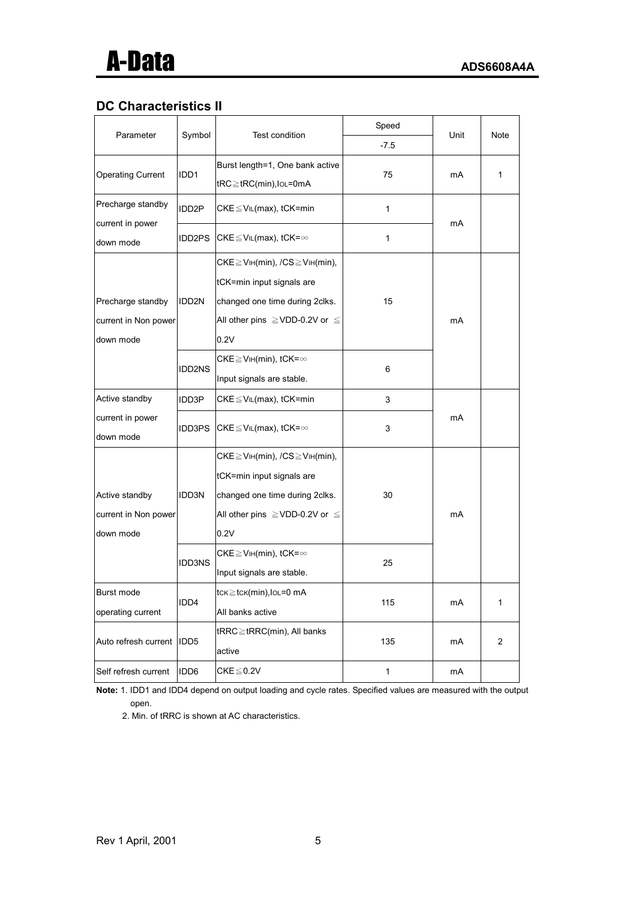## **DC Characteristics II**

|                                                     |                    |                                                                                                                                                                | Speed        |      | <b>Note</b>    |
|-----------------------------------------------------|--------------------|----------------------------------------------------------------------------------------------------------------------------------------------------------------|--------------|------|----------------|
| Parameter                                           | Symbol             | Test condition                                                                                                                                                 | $-7.5$       | Unit |                |
| <b>Operating Current</b>                            | IDD1               | Burst length=1, One bank active<br>tRC≧tRC(min), lo∟=0mA                                                                                                       | mA           | 1    |                |
| Precharge standby                                   | IDD <sub>2</sub> P | $CKE \leq VIL(max)$ , tCK=min                                                                                                                                  | 1            | mA   |                |
| current in power<br>down mode                       | IDD2PS             | CKE $\leq$ V <sub>IL</sub> (max), tCK= $\infty$                                                                                                                | 1            |      |                |
| Precharge standby<br>current in Non power           | IDD <sub>2N</sub>  | $CKE \geq V_H(min)$ , $/CS \geq V_H(min)$ ,<br>tCK=min input signals are<br>changed one time during 2clks.<br>All other pins $\geq$ VDD-0.2V or $\leq$         | 15           | mA   |                |
| down mode                                           |                    | 0.2V                                                                                                                                                           |              |      |                |
|                                                     | <b>IDD2NS</b>      | $CKE \geq VIH(min)$ , tCK= $\infty$<br>Input signals are stable.                                                                                               | 6            |      |                |
| Active standby                                      | IDD3P              | $CKE \leq VIL(max)$ , tCK=min                                                                                                                                  | 3            |      |                |
| current in power<br>down mode                       | IDD3PS             | CKE $\leq$ V <sub>IL</sub> (max), tCK= $\infty$                                                                                                                | 3            | mA   |                |
| Active standby<br>current in Non power<br>down mode | IDD3N              | $CKE \geq V_H(min)$ , $/CS \geq V_H(min)$ ,<br>tCK=min input signals are<br>changed one time during 2clks.<br>All other pins $\geq$ VDD-0.2V or $\leq$<br>0.2V | 30           | mA   |                |
|                                                     | <b>IDD3NS</b>      | $CKE \geq VIH(min)$ , tCK= $\infty$<br>Input signals are stable.                                                                                               | 25           |      |                |
| Burst mode<br>operating current                     | IDD4               | $tc \leq tc \kappa$ (min), $lo \leq 0$ mA<br>All banks active                                                                                                  | 115          | mA   | $\mathbf{1}$   |
| Auto refresh current                                | IDD <sub>5</sub>   | tRRC≧tRRC(min), All banks<br>active                                                                                                                            | 135          | mA   | $\overline{c}$ |
| Self refresh current                                | IDD <sub>6</sub>   | $CKE \leq 0.2V$                                                                                                                                                | $\mathbf{1}$ | mA   |                |

**Note:** 1. IDD1 and IDD4 depend on output loading and cycle rates. Specified values are measured with the output open.

2. Min. of tRRC is shown at AC characteristics.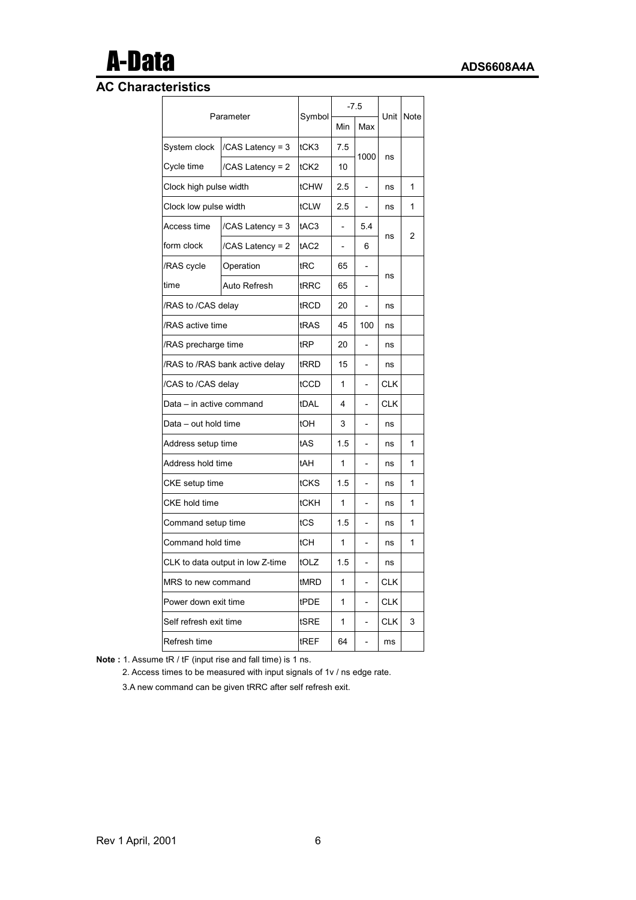# A-Data **ADS6608A4A**

## **AC Characteristics**

|                                  |                                |                  | $-7.5$                   |                | Note       |   |
|----------------------------------|--------------------------------|------------------|--------------------------|----------------|------------|---|
| Parameter                        |                                | Symbol           | Min                      | Max            | Unit       |   |
| System clock                     | /CAS Latency = 3               | tCK3             | 7.5                      |                |            |   |
| Cycle time                       | /CAS Latency = 2               | tCK2             | 10                       | 1000           | ns         |   |
| Clock high pulse width           |                                | tCHW             | 2.5                      |                | ns         | 1 |
| Clock low pulse width            |                                | tCLW             | 2.5                      |                | ns         | 1 |
| Access time                      | /CAS Latency = 3               | tAC <sub>3</sub> |                          | 5.4            |            |   |
| form clock                       | /CAS Latency = 2               | tAC2             | $\overline{\phantom{0}}$ | 6              | ns         | 2 |
| /RAS cycle                       | Operation                      | tRC              | 65                       |                |            |   |
| time                             | Auto Refresh                   | tRRC             | 65                       |                | ns         |   |
| /RAS to /CAS delay               |                                | tRCD             | 20                       | $\overline{a}$ | ns         |   |
| /RAS active time                 |                                | tRAS             | 45                       | 100            | ns         |   |
| /RAS precharge time              |                                | tRP              | 20                       |                | ns         |   |
|                                  | /RAS to /RAS bank active delay | tRRD             | 15                       |                | ns         |   |
| /CAS to /CAS delay               | tCCD                           | 1                |                          | <b>CLK</b>     |            |   |
| Data – in active command         |                                | tDAL             | 4                        | $\overline{a}$ | <b>CLK</b> |   |
| Data - out hold time             |                                | tOH              | 3                        |                | ns         |   |
| Address setup time               |                                | tAS              | 1.5                      |                | ns         | 1 |
| Address hold time                |                                | tAH              | 1                        |                | ns         | 1 |
| CKE setup time                   |                                | tCKS             | 1.5                      |                | ns         | 1 |
| CKE hold time                    |                                | tCKH             | 1                        |                | ns         | 1 |
| Command setup time               |                                | tCS              | 1.5                      |                | ns         | 1 |
| Command hold time                |                                | tCH              | 1                        | $\overline{a}$ | ns         | 1 |
| CLK to data output in low Z-time | tOLZ                           | 1.5              |                          | ns             |            |   |
| MRS to new command               | tMRD                           | 1                |                          | <b>CLK</b>     |            |   |
| Power down exit time             |                                | tPDE             | 1                        | $\overline{a}$ | <b>CLK</b> |   |
| Self refresh exit time           |                                | tSRE             | 1                        |                | <b>CLK</b> | 3 |
| Refresh time                     |                                | tREF             | 64                       |                | ms         |   |

**Note :** 1. Assume tR / tF (input rise and fall time) is 1 ns.

2. Access times to be measured with input signals of 1v / ns edge rate.

3.A new command can be given tRRC after self refresh exit.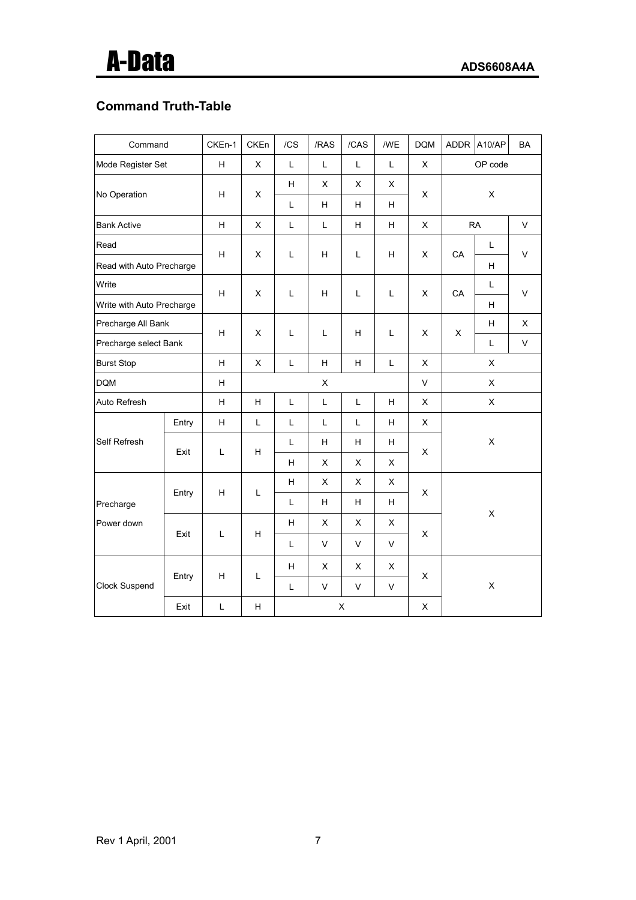## **Command Truth-Table**

| Command                   |       | CKEn-1       | CKEn                      | /CS | /RAS | /CAS           | /WE         | <b>DQM</b>                |             | ADDR A10/AP | BA           |   |  |   |  |
|---------------------------|-------|--------------|---------------------------|-----|------|----------------|-------------|---------------------------|-------------|-------------|--------------|---|--|---|--|
| Mode Register Set         |       | H            | $\pmb{\times}$            | L   | L    | L              | L           | $\pmb{\times}$            |             | OP code     |              |   |  |   |  |
|                           |       | H            | $\pmb{\times}$            | H.  | X    | X              | X           | X                         | $\mathsf X$ |             |              |   |  |   |  |
| No Operation              |       |              |                           | L   | H    | H.             | H           |                           |             |             |              |   |  |   |  |
| <b>Bank Active</b>        |       | H            | X                         | L   | L    | H              | н           | X                         |             | <b>RA</b>   | V            |   |  |   |  |
| Read                      |       | $\mathsf H$  | X                         | Г   | H    | L              | н           | $\mathsf X$               | CA          | Г           | $\mathsf{V}$ |   |  |   |  |
| Read with Auto Precharge  |       |              |                           |     |      |                |             |                           |             | H.          |              |   |  |   |  |
| Write                     |       | $\mathsf H$  | X                         | Г   | н    | L              | L           | X                         | CA          | L           | $\mathsf{V}$ |   |  |   |  |
| Write with Auto Precharge |       |              |                           |     |      |                |             |                           |             | H           |              |   |  |   |  |
| Precharge All Bank        |       | $\mathsf{H}$ | X                         | Г   | L    | H              | L           | X                         | X           | H           | X            |   |  |   |  |
| Precharge select Bank     |       |              |                           |     |      |                |             |                           |             | Г           | $\mathsf{V}$ |   |  |   |  |
| <b>Burst Stop</b>         |       | H            | X                         | L   | H    | H              | L           | X                         | X           |             |              |   |  |   |  |
| <b>DQM</b>                |       |              |                           |     | Χ    |                |             | $\mathsf{V}$              |             | X           |              |   |  |   |  |
| Auto Refresh              |       |              | H                         | Г   | Г    | L              | н           | $\pmb{\times}$            | X           |             |              |   |  |   |  |
|                           | Entry | H            | L                         | Г   | Г    | L              | H           | $\boldsymbol{\mathsf{X}}$ |             |             |              |   |  |   |  |
| Self Refresh              | Exit  | $\mathsf L$  | H                         | L   | H    | H              | H.          | $\pmb{\times}$            |             | X           |              |   |  |   |  |
|                           |       |              |                           | H   | X    | X              | X           |                           |             |             |              |   |  |   |  |
|                           | Entry | н            | L                         | H   | X    | X              | X           | X                         |             |             |              |   |  |   |  |
| Precharge                 |       |              |                           | Г   | н    | H              | H           |                           |             |             |              |   |  |   |  |
| Power down                |       |              |                           | H   | X    | X              | X           |                           |             | X           |              |   |  |   |  |
|                           | Exit  | $\mathsf L$  | $\boldsymbol{\mathsf{H}}$ | L   | V    | $\mathsf{V}$   | $\mathsf V$ | $\mathsf X$               |             |             |              |   |  |   |  |
|                           |       |              |                           | H   | X    | $\pmb{\times}$ | X           |                           |             |             |              |   |  |   |  |
| Clock Suspend             | Entry | н            |                           |     |      |                | L           | Г                         | V           | V           | V            | X |  | X |  |
| Exit                      |       | $\mathsf L$  | H                         |     |      | X              |             | $\mathsf X$               |             |             |              |   |  |   |  |